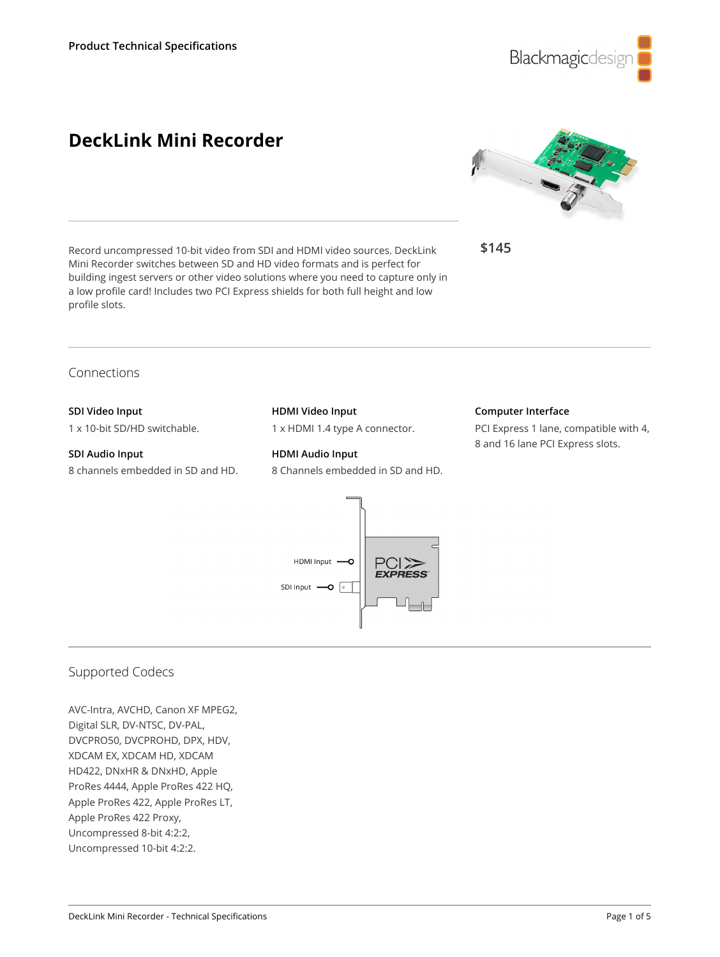

# **DeckLink Mini Recorder**



**\$145**

Record uncompressed 10-bit video from SDI and HDMI video sources. DeckLink Mini Recorder switches between SD and HD video formats and is perfect for building ingest servers or other video solutions where you need to capture only in a low profile card! Includes two PCI Express shields for both full height and low profile slots.

Connections

## **SDI Video Input**

1 x 10-bit SD/HD switchable.

## **SDI Audio Input** 8 channels embedded in SD and HD.

**HDMI Video Input**

1 x HDMI 1.4 type A connector.

**HDMI Audio Input** 8 Channels embedded in SD and HD.

#### **Computer Interface**

PCI Express 1 lane, compatible with 4, 8 and 16 lane PCI Express slots.



# Supported Codecs

AVC-Intra, AVCHD, Canon XF MPEG2, Digital SLR, DV-NTSC, DV-PAL, DVCPRO50, DVCPROHD, DPX, HDV, XDCAM EX, XDCAM HD, XDCAM HD422, DNxHR & DNxHD, Apple ProRes 4444, Apple ProRes 422 HQ, Apple ProRes 422, Apple ProRes LT, Apple ProRes 422 Proxy, Uncompressed 8-bit 4:2:2, Uncompressed 10-bit 4:2:2.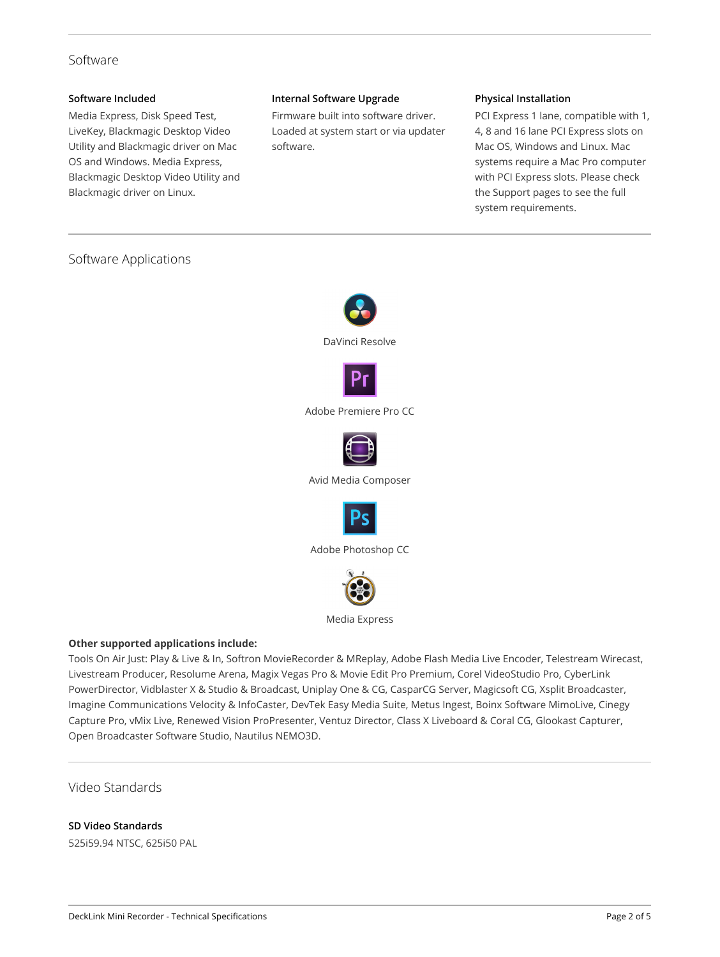# Software

#### **Software Included**

Media Express, Disk Speed Test, LiveKey, Blackmagic Desktop Video Utility and Blackmagic driver on Mac OS and Windows. Media Express, Blackmagic Desktop Video Utility and Blackmagic driver on Linux.

#### **Internal Software Upgrade**

Firmware built into software driver. Loaded at system start or via updater software.

## **Physical Installation**

PCI Express 1 lane, compatible with 1, 4, 8 and 16 lane PCI Express slots on Mac OS, Windows and Linux. Mac systems require a Mac Pro computer with PCI Express slots. Please check the Support pages to see the full system requirements.

# Software Applications



Media Express

## **Other supported applications include:**

Tools On Air Just: Play & Live & In, Softron MovieRecorder & MReplay, Adobe Flash Media Live Encoder, Telestream Wirecast, Livestream Producer, Resolume Arena, Magix Vegas Pro & Movie Edit Pro Premium, Corel VideoStudio Pro, CyberLink PowerDirector, Vidblaster X & Studio & Broadcast, Uniplay One & CG, CasparCG Server, Magicsoft CG, Xsplit Broadcaster, Imagine Communications Velocity & InfoCaster, DevTek Easy Media Suite, Metus Ingest, Boinx Software MimoLive, Cinegy Capture Pro, vMix Live, Renewed Vision ProPresenter, Ventuz Director, Class X Liveboard & Coral CG, Glookast Capturer, Open Broadcaster Software Studio, Nautilus NEMO3D.

Video Standards

## **SD Video Standards**

525i59.94 NTSC, 625i50 PAL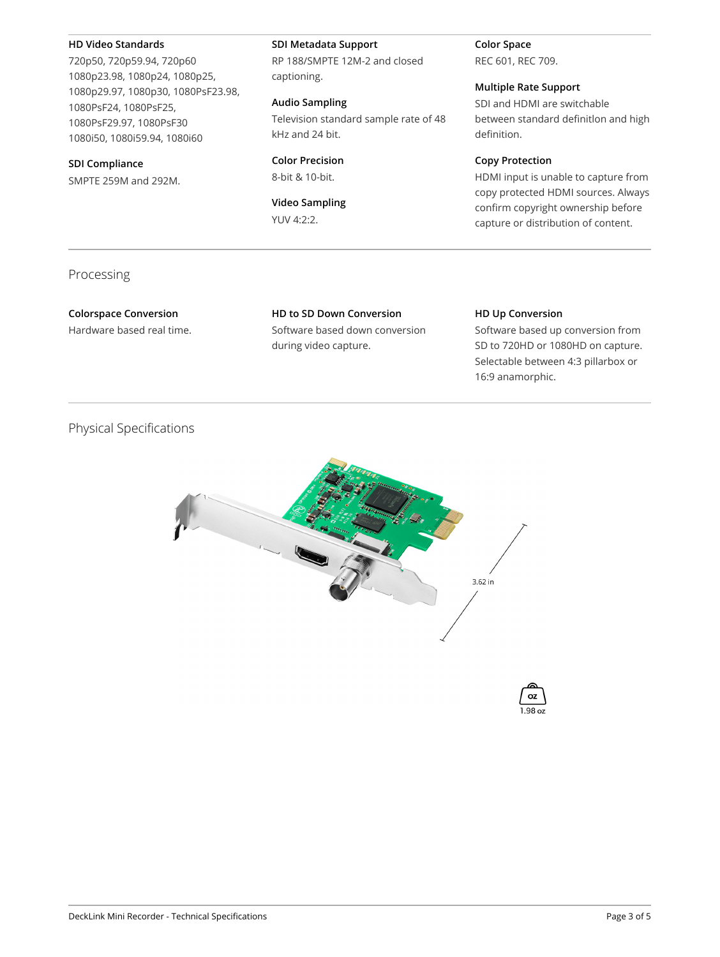#### **HD Video Standards**

720p50, 720p59.94, 720p60 1080p23.98, 1080p24, 1080p25, 1080p29.97, 1080p30, 1080PsF23.98, 1080PsF24, 1080PsF25, 1080PsF29.97, 1080PsF30 1080i50, 1080i59.94, 1080i60

#### **SDI Compliance**

SMPTE 259M and 292M.

#### **SDI Metadata Support**

RP 188/SMPTE 12M-2 and closed captioning.

#### **Audio Sampling**

Television standard sample rate of 48 kHz and 24 bit.

**Color Precision** 8-bit & 10-bit.

## **Video Sampling** YUV 4:2:2.

**Color Space** REC 601, REC 709.

# **Multiple Rate Support**

SDI and HDMI are switchable between standard definitlon and high definition.

## **Copy Protection**

HDMI input is unable to capture from copy protected HDMI sources. Always confirm copyright ownership before capture or distribution of content.

## Processing

**Colorspace Conversion** Hardware based real time. **HD to SD Down Conversion** Software based down conversion during video capture.

#### **HD Up Conversion**

Software based up conversion from SD to 720HD or 1080HD on capture. Selectable between 4:3 pillarbox or 16:9 anamorphic.

# Physical Specifications



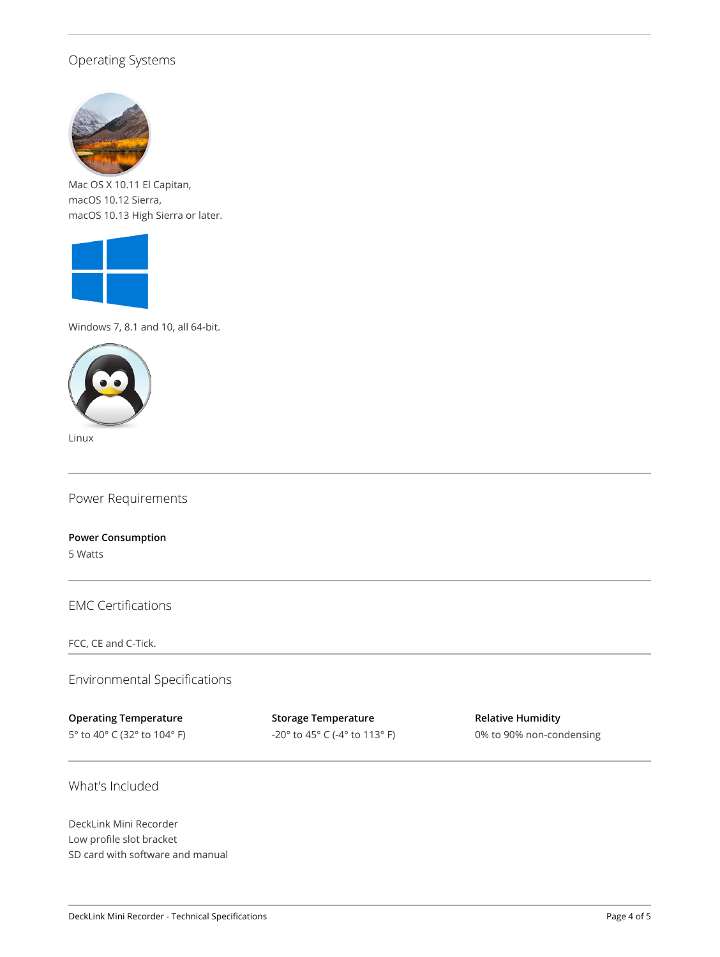# Operating Systems



Mac OS X 10.11 El Capitan, macOS 10.12 Sierra, macOS 10.13 High Sierra or later.



Windows 7, 8.1 and 10, all 64-bit.



Linux

Power Requirements

**Power Consumption** 5 Watts

EMC Certifications

FCC, CE and C-Tick.

Environmental Specifications

**Operating Temperature**

5° to 40° C (32° to 104° F)

**Storage Temperature** -20° to 45° C (-4° to 113° F) **Relative Humidity** 0% to 90% non-condensing

What's Included

DeckLink Mini Recorder Low profile slot bracket SD card with software and manual